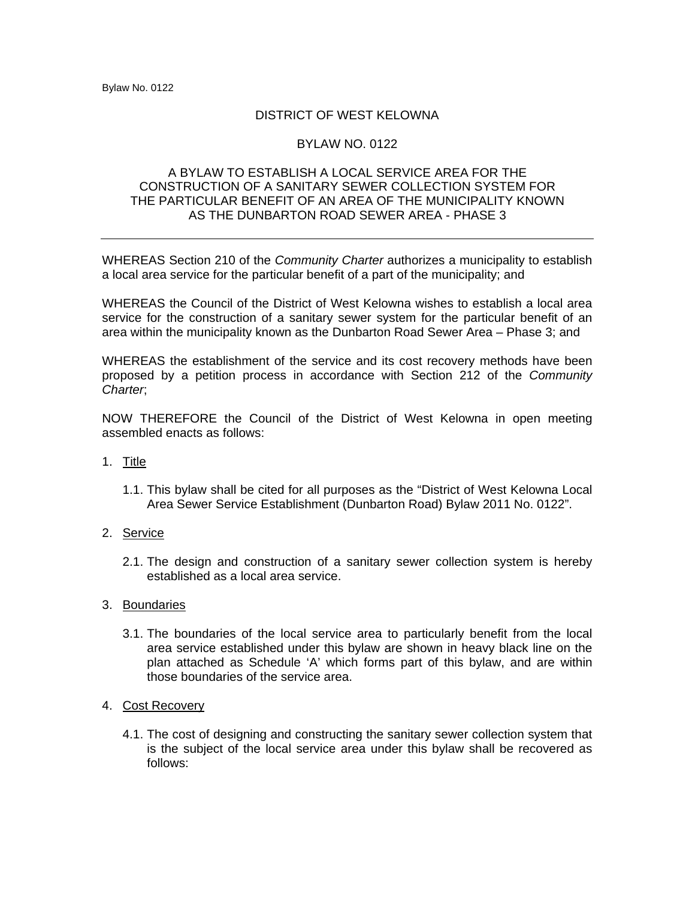## DISTRICT OF WEST KELOWNA

## BYLAW NO. 0122

## A BYLAW TO ESTABLISH A LOCAL SERVICE AREA FOR THE CONSTRUCTION OF A SANITARY SEWER COLLECTION SYSTEM FOR THE PARTICULAR BENEFIT OF AN AREA OF THE MUNICIPALITY KNOWN AS THE DUNBARTON ROAD SEWER AREA - PHASE 3

WHEREAS Section 210 of the *Community Charter* authorizes a municipality to establish a local area service for the particular benefit of a part of the municipality; and

WHEREAS the Council of the District of West Kelowna wishes to establish a local area service for the construction of a sanitary sewer system for the particular benefit of an area within the municipality known as the Dunbarton Road Sewer Area – Phase 3; and

WHEREAS the establishment of the service and its cost recovery methods have been proposed by a petition process in accordance with Section 212 of the *Community Charter*;

NOW THEREFORE the Council of the District of West Kelowna in open meeting assembled enacts as follows:

- 1. Title
	- 1.1. This bylaw shall be cited for all purposes as the "District of West Kelowna Local Area Sewer Service Establishment (Dunbarton Road) Bylaw 2011 No. 0122".
- 2. Service
	- 2.1. The design and construction of a sanitary sewer collection system is hereby established as a local area service.
- 3. Boundaries
	- 3.1. The boundaries of the local service area to particularly benefit from the local area service established under this bylaw are shown in heavy black line on the plan attached as Schedule 'A' which forms part of this bylaw, and are within those boundaries of the service area.

## 4. Cost Recovery

4.1. The cost of designing and constructing the sanitary sewer collection system that is the subject of the local service area under this bylaw shall be recovered as follows: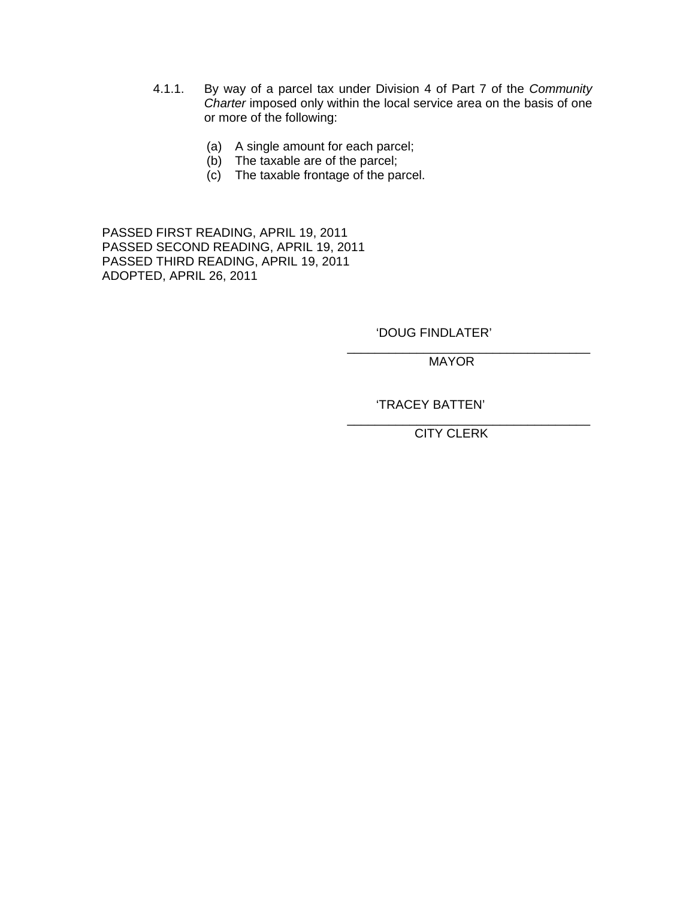- 4.1.1. By way of a parcel tax under Division 4 of Part 7 of the *Community Charter* imposed only within the local service area on the basis of one or more of the following:
	- (a) A single amount for each parcel;
	- (b) The taxable are of the parcel;
	- (c) The taxable frontage of the parcel.

 $\overline{\phantom{a}}$  , which is a set of the contract of the contract of the contract of the contract of the contract of the contract of the contract of the contract of the contract of the contract of the contract of the contract

PASSED FIRST READING, APRIL 19, 2011 PASSED SECOND READING, APRIL 19, 2011 PASSED THIRD READING, APRIL 19, 2011 ADOPTED, APRIL 26, 2011

'DOUG FINDLATER'

 $\overline{\phantom{a}}$  , which is a set of the contract of the contract of the contract of the contract of the contract of the contract of the contract of the contract of the contract of the contract of the contract of the contract MAYOR

'TRACEY BATTEN'

CITY CLERK